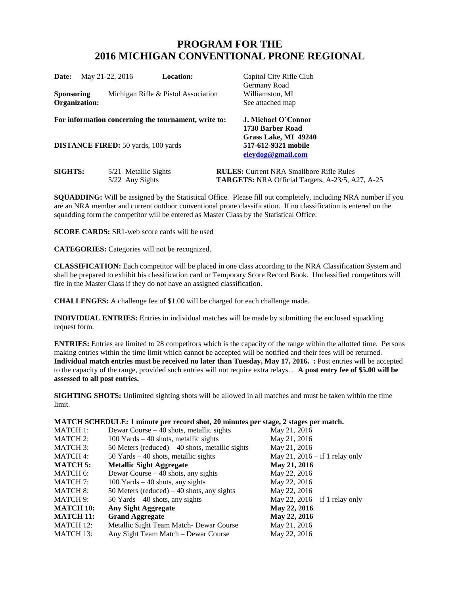# **PROGRAM FOR THE 2016 MICHIGAN CONVENTIONAL PRONE REGIONAL**

| <b>Date:</b>                | May 21-22, 2016                            | <b>Location:</b>                                     | Capitol City Rifle Club<br>Germany Road                                                                    |
|-----------------------------|--------------------------------------------|------------------------------------------------------|------------------------------------------------------------------------------------------------------------|
| Sponsoring<br>Organization: |                                            | Michigan Rifle & Pistol Association                  | Williamston, MI<br>See attached map                                                                        |
|                             |                                            | For information concerning the tournament, write to: | J. Michael O'Connor                                                                                        |
|                             | <b>DISTANCE FIRED:</b> 50 yards, 100 yards |                                                      | 1730 Barber Road<br>Grass Lake, MI 49240<br>517-612-9321 mobile<br>eleydog@gmail.com                       |
| <b>SIGHTS:</b>              | 5/21 Metallic Sights<br>5/22 Any Sights    |                                                      | <b>RULES:</b> Current NRA Smallbore Rifle Rules<br><b>TARGETS:</b> NRA Official Targets, A-23/5, A27, A-25 |

**SQUADDING:** Will be assigned by the Statistical Office. Please fill out completely, including NRA number if you are an NRA member and current outdoor conventional prone classification. If no classification is entered on the squadding form the competitor will be entered as Master Class by the Statistical Office.

**SCORE CARDS:** SR1-web score cards will be used

**CATEGORIES:** Categories will not be recognized.

**CLASSIFICATION:** Each competitor will be placed in one class according to the NRA Classification System and shall be prepared to exhibit his classification card or Temporary Score Record Book. Unclassified competitors will fire in the Master Class if they do not have an assigned classification.

**CHALLENGES:** A challenge fee of \$1.00 will be charged for each challenge made.

**INDIVIDUAL ENTRIES:** Entries in individual matches will be made by submitting the enclosed squadding request form.

**ENTRIES:** Entries are limited to 28 competitors which is the capacity of the range within the allotted time. Persons making entries within the time limit which cannot be accepted will be notified and their fees will be returned. **Individual match entries must be received no later than Tuesday, May 17, 2016. :** Post entries will be accepted to the capacity of the range, provided such entries will not require extra relays. . **A post entry fee of \$5.00 will be assessed to all post entries.**

**SIGHTING SHOTS:** Unlimited sighting shots will be allowed in all matches and must be taken within the time limit.

| MATCH SCHEDULE: 1 minute per record shot, 20 minutes per stage, 2 stages per match. |  |  |  |
|-------------------------------------------------------------------------------------|--|--|--|
|-------------------------------------------------------------------------------------|--|--|--|

| <b>MATCH 1:</b>  | Dewar Course $-40$ shots, metallic sights        | May 21, 2016                     |
|------------------|--------------------------------------------------|----------------------------------|
| <b>MATCH 2:</b>  | $100$ Yards $-40$ shots, metallic sights         | May 21, 2016                     |
| <b>MATCH 3:</b>  | 50 Meters (reduced) $-40$ shots, metallic sights | May 21, 2016                     |
| <b>MATCH 4:</b>  | $50$ Yards $-40$ shots, metallic sights          | May 21, $2016 - if 1$ relay only |
| <b>MATCH 5:</b>  | <b>Metallic Sight Aggregate</b>                  | May 21, 2016                     |
| MATCH 6:         | Dewar Course $-40$ shots, any sights             | May 22, 2016                     |
| MATCH 7:         | $100$ Yards $-40$ shots, any sights              | May 22, 2016                     |
| MATCH 8:         | 50 Meters (reduced) $-40$ shots, any sights      | May 22, 2016                     |
| MATCH 9:         | 50 Yards $-40$ shots, any sights                 | May 22, $2016 - if 1$ relay only |
| <b>MATCH 10:</b> | <b>Any Sight Aggregate</b>                       | May 22, 2016                     |
| <b>MATCH 11:</b> | <b>Grand Aggregate</b>                           | May 22, 2016                     |
| MATCH 12:        | Metallic Sight Team Match-Dewar Course           | May 21, 2016                     |
| MATCH 13:        | Any Sight Team Match – Dewar Course              | May 22, 2016                     |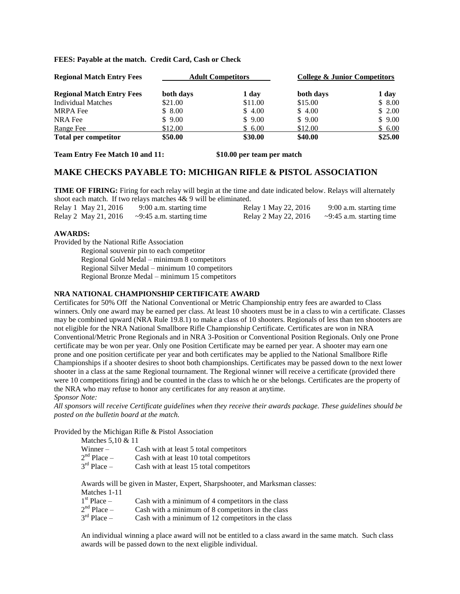### **FEES: Payable at the match. Credit Card, Cash or Check**

| <b>Regional Match Entry Fees</b> | <b>Adult Competitors</b> |         | <b>College &amp; Junior Competitors</b> |         |
|----------------------------------|--------------------------|---------|-----------------------------------------|---------|
| <b>Regional Match Entry Fees</b> | both days                | 1 day   | both days                               | 1 day   |
| Individual Matches               | \$21.00                  | \$11.00 | \$15.00                                 | \$8.00  |
| <b>MRPA</b> Fee                  | \$8.00                   | \$4.00  | \$4.00                                  | \$2.00  |
| NRA Fee                          | \$9.00                   | \$9.00  | \$9.00                                  | \$9.00  |
| Range Fee                        | \$12.00                  | \$6.00  | \$12.00                                 | \$6.00  |
| <b>Total per competitor</b>      | \$50.00                  | \$30.00 | \$40.00                                 | \$25.00 |

**Team Entry Fee Match 10 and 11: \$10.00 per team per match**

## **MAKE CHECKS PAYABLE TO: MICHIGAN RIFLE & PISTOL ASSOCIATION**

**TIME OF FIRING:** Firing for each relay will begin at the time and date indicated below. Relays will alternately shoot each match. If two relays matches 4& 9 will be eliminated.

| Relay 1 May 21, 2016 | 9:00 a.m. starting time                             | Relay 1 May 22, 2016 | 9:00 a.m. starting time        |
|----------------------|-----------------------------------------------------|----------------------|--------------------------------|
|                      | Relay 2 May 21, 2016 $\sim$ 9:45 a.m. starting time | Relay 2 May 22, 2016 | $\sim$ 9:45 a.m. starting time |

### **AWARDS:**

Provided by the National Rifle Association

Regional souvenir pin to each competitor Regional Gold Medal – minimum 8 competitors Regional Silver Medal – minimum 10 competitors Regional Bronze Medal – minimum 15 competitors

### **NRA NATIONAL CHAMPIONSHIP CERTIFICATE AWARD**

Certificates for 50% Off the National Conventional or Metric Championship entry fees are awarded to Class winners. Only one award may be earned per class. At least 10 shooters must be in a class to win a certificate. Classes may be combined upward (NRA Rule 19.8.1) to make a class of 10 shooters. Regionals of less than ten shooters are not eligible for the NRA National Smallbore Rifle Championship Certificate. Certificates are won in NRA Conventional/Metric Prone Regionals and in NRA 3-Position or Conventional Position Regionals. Only one Prone certificate may be won per year. Only one Position Certificate may be earned per year. A shooter may earn one prone and one position certificate per year and both certificates may be applied to the National Smallbore Rifle Championships if a shooter desires to shoot both championships. Certificates may be passed down to the next lower shooter in a class at the same Regional tournament. The Regional winner will receive a certificate (provided there were 10 competitions firing) and be counted in the class to which he or she belongs. Certificates are the property of the NRA who may refuse to honor any certificates for any reason at anytime.

*Sponsor Note:*

*All sponsors will receive Certificate guidelines when they receive their awards package. These guidelines should be posted on the bulletin board at the match.*

Provided by the Michigan Rifle & Pistol Association

| Matches 5.10 & 11         |                                         |
|---------------------------|-----------------------------------------|
| Winner –                  | Cash with at least 5 total competitors  |
| $2nd$ Place $-$           | Cash with at least 10 total competitors |
| $3^{\text{rd}}$ Place $-$ | Cash with at least 15 total competitors |
|                           |                                         |

Awards will be given in Master, Expert, Sharpshooter, and Marksman classes: Matches 1-11  $1^{\rm st}$  $s_{\rm F}$  and the minimum of 4 competitors in the class

| $\Gamma$ Place $-$      | Cash with a minimum of 4 competitors in the class  |
|-------------------------|----------------------------------------------------|
| $2nd$ Place –           | Cash with a minimum of 8 competitors in the class  |
| $3^{\text{rd}}$ Place – | Cash with a minimum of 12 competitors in the class |

An individual winning a place award will not be entitled to a class award in the same match. Such class awards will be passed down to the next eligible individual.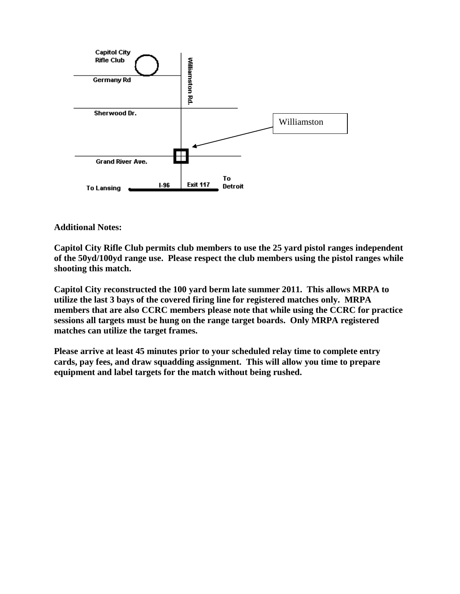

**Additional Notes:**

**Capitol City Rifle Club permits club members to use the 25 yard pistol ranges independent of the 50yd/100yd range use. Please respect the club members using the pistol ranges while shooting this match.**

**Capitol City reconstructed the 100 yard berm late summer 2011. This allows MRPA to utilize the last 3 bays of the covered firing line for registered matches only. MRPA members that are also CCRC members please note that while using the CCRC for practice sessions all targets must be hung on the range target boards. Only MRPA registered matches can utilize the target frames.**

**Please arrive at least 45 minutes prior to your scheduled relay time to complete entry cards, pay fees, and draw squadding assignment. This will allow you time to prepare equipment and label targets for the match without being rushed.**